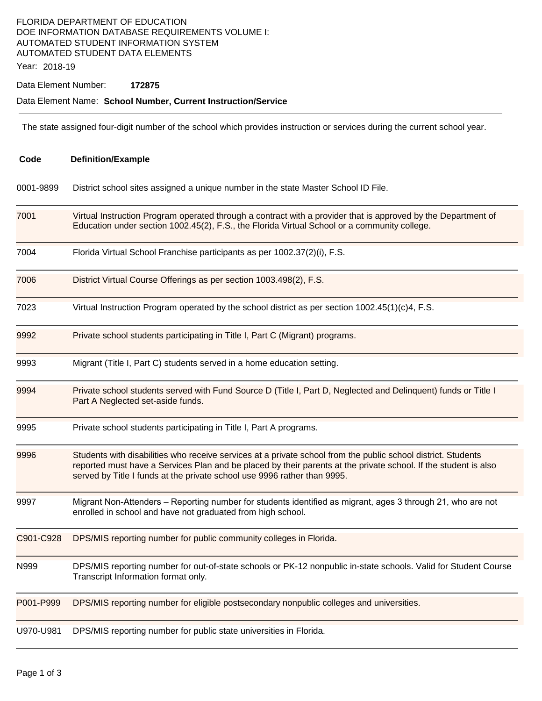#### FLORIDA DEPARTMENT OF EDUCATION DOE INFORMATION DATABASE REQUIREMENTS VOLUME I: AUTOMATED STUDENT INFORMATION SYSTEM AUTOMATED STUDENT DATA ELEMENTS

Year: 2018-19

Data Element Number: **172875** 

#### Data Element Name: **School Number, Current Instruction/Service**

The state assigned four-digit number of the school which provides instruction or services during the current school year.

| Code      | <b>Definition/Example</b>                                                                                                                                                                                                                                                                                    |  |  |
|-----------|--------------------------------------------------------------------------------------------------------------------------------------------------------------------------------------------------------------------------------------------------------------------------------------------------------------|--|--|
| 0001-9899 | District school sites assigned a unique number in the state Master School ID File.                                                                                                                                                                                                                           |  |  |
| 7001      | Virtual Instruction Program operated through a contract with a provider that is approved by the Department of<br>Education under section 1002.45(2), F.S., the Florida Virtual School or a community college.                                                                                                |  |  |
| 7004      | Florida Virtual School Franchise participants as per 1002.37(2)(i), F.S.                                                                                                                                                                                                                                     |  |  |
| 7006      | District Virtual Course Offerings as per section 1003.498(2), F.S.                                                                                                                                                                                                                                           |  |  |
| 7023      | Virtual Instruction Program operated by the school district as per section $1002.45(1)(c)4$ , F.S.                                                                                                                                                                                                           |  |  |
| 9992      | Private school students participating in Title I, Part C (Migrant) programs.                                                                                                                                                                                                                                 |  |  |
| 9993      | Migrant (Title I, Part C) students served in a home education setting.                                                                                                                                                                                                                                       |  |  |
| 9994      | Private school students served with Fund Source D (Title I, Part D, Neglected and Delinquent) funds or Title I<br>Part A Neglected set-aside funds.                                                                                                                                                          |  |  |
| 9995      | Private school students participating in Title I, Part A programs.                                                                                                                                                                                                                                           |  |  |
| 9996      | Students with disabilities who receive services at a private school from the public school district. Students<br>reported must have a Services Plan and be placed by their parents at the private school. If the student is also<br>served by Title I funds at the private school use 9996 rather than 9995. |  |  |
| 9997      | Migrant Non-Attenders – Reporting number for students identified as migrant, ages 3 through 21, who are not<br>enrolled in school and have not graduated from high school.                                                                                                                                   |  |  |
| C901-C928 | DPS/MIS reporting number for public community colleges in Florida.                                                                                                                                                                                                                                           |  |  |
| N999      | DPS/MIS reporting number for out-of-state schools or PK-12 nonpublic in-state schools. Valid for Student Course<br>Transcript Information format only.                                                                                                                                                       |  |  |
| P001-P999 | DPS/MIS reporting number for eligible postsecondary nonpublic colleges and universities.                                                                                                                                                                                                                     |  |  |
| U970-U981 | DPS/MIS reporting number for public state universities in Florida.                                                                                                                                                                                                                                           |  |  |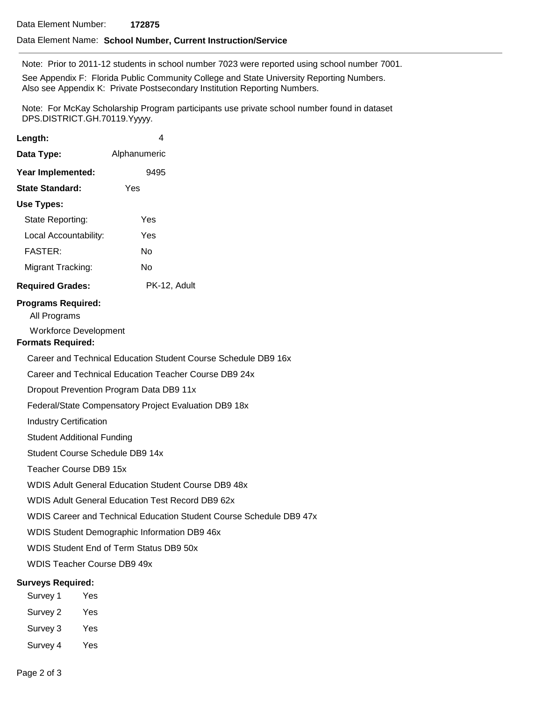#### Data Element Name: **School Number, Current Instruction/Service**

Note: Prior to 2011-12 students in school number 7023 were reported using school number 7001.

See Appendix F: Florida Public Community College and State University Reporting Numbers. Also see Appendix K: Private Postsecondary Institution Reporting Numbers.

Note: For McKay Scholarship Program participants use private school number found in dataset DPS.DISTRICT.GH.70119.Yyyyy.

| Length:                                                                                               | 4                                                                   |  |  |  |  |
|-------------------------------------------------------------------------------------------------------|---------------------------------------------------------------------|--|--|--|--|
| Data Type:                                                                                            | Alphanumeric                                                        |  |  |  |  |
| Year Implemented:                                                                                     | 9495                                                                |  |  |  |  |
| <b>State Standard:</b>                                                                                | Yes                                                                 |  |  |  |  |
| <b>Use Types:</b>                                                                                     |                                                                     |  |  |  |  |
| State Reporting:                                                                                      | Yes                                                                 |  |  |  |  |
| Local Accountability:                                                                                 | Yes                                                                 |  |  |  |  |
| <b>FASTER:</b>                                                                                        | No                                                                  |  |  |  |  |
| Migrant Tracking:                                                                                     | <b>No</b>                                                           |  |  |  |  |
| <b>Required Grades:</b>                                                                               | PK-12, Adult                                                        |  |  |  |  |
| <b>Programs Required:</b><br>All Programs<br><b>Workforce Development</b><br><b>Formats Required:</b> |                                                                     |  |  |  |  |
|                                                                                                       | Career and Technical Education Student Course Schedule DB9 16x      |  |  |  |  |
|                                                                                                       | Career and Technical Education Teacher Course DB9 24x               |  |  |  |  |
|                                                                                                       | Dropout Prevention Program Data DB9 11x                             |  |  |  |  |
|                                                                                                       | Federal/State Compensatory Project Evaluation DB9 18x               |  |  |  |  |
| <b>Industry Certification</b>                                                                         |                                                                     |  |  |  |  |
| <b>Student Additional Funding</b>                                                                     |                                                                     |  |  |  |  |
|                                                                                                       | Student Course Schedule DB9 14x                                     |  |  |  |  |
| Teacher Course DB9 15x                                                                                |                                                                     |  |  |  |  |
|                                                                                                       | <b>WDIS Adult General Education Student Course DB9 48x</b>          |  |  |  |  |
|                                                                                                       | <b>WDIS Adult General Education Test Record DB9 62x</b>             |  |  |  |  |
|                                                                                                       | WDIS Career and Technical Education Student Course Schedule DB9 47x |  |  |  |  |
|                                                                                                       | WDIS Student Demographic Information DB9 46x                        |  |  |  |  |
|                                                                                                       | WDIS Student End of Term Status DB9 50x                             |  |  |  |  |
| <b>WDIS Teacher Course DB9 49x</b>                                                                    |                                                                     |  |  |  |  |
| <b>Surveys Required:</b>                                                                              |                                                                     |  |  |  |  |
| Survey 1<br>Yes                                                                                       |                                                                     |  |  |  |  |
| Survey 2<br>Yes                                                                                       |                                                                     |  |  |  |  |
| Survey 3<br>Yes                                                                                       |                                                                     |  |  |  |  |

Survey 4 Yes